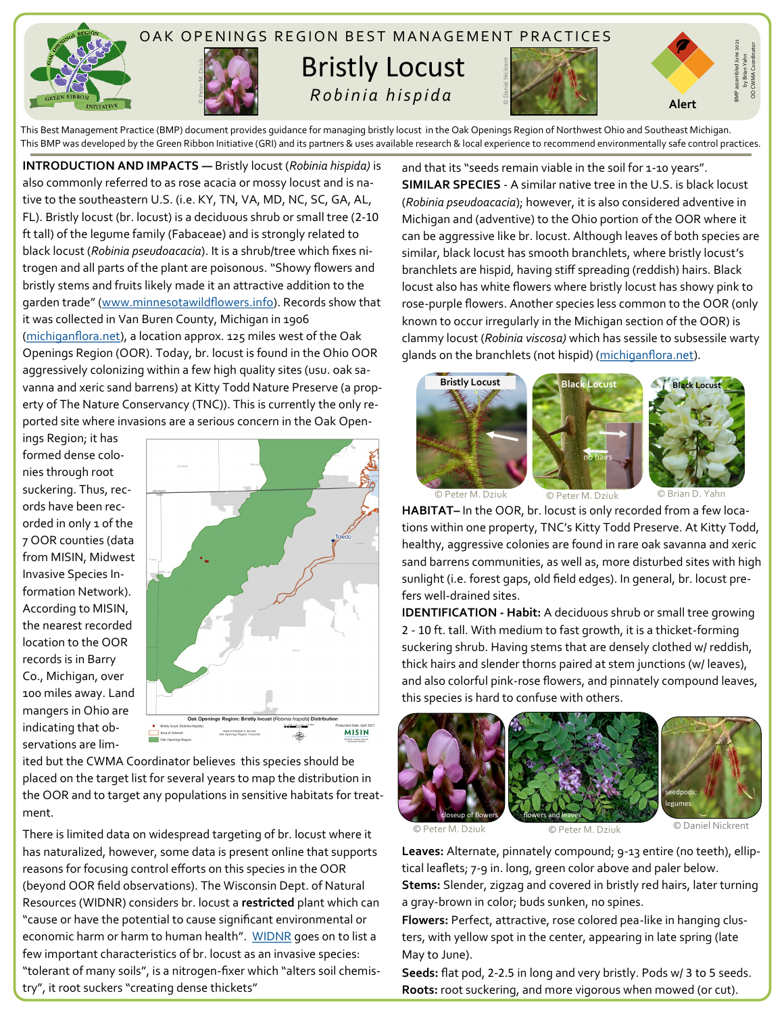

This Best Management Practice (BMP) document provides guidance for managing bristly locust in the Oak Openings Region of Northwest Ohio and Southeast Michigan. This BMP was developed by the Green Ribbon Initiative (GRI) and its partners & uses available research & local experience to recommend environmentally safe control practices.

**INTRODUCTION AND IMPACTS —** Bristly locust (*Robinia hispida)* is also commonly referred to as rose acacia or mossy locust and is native to the southeastern U.S. (i.e. KY, TN, VA, MD, NC, SC, GA, AL, FL). Bristly locust (br. locust) is a deciduous shrub or small tree (2-10 ft tall) of the legume family (Fabaceae) and is strongly related to black locust (*Robinia pseudoacacia*). It is a shrub/tree which fixes nitrogen and all parts of the plant are poisonous. "Showy flowers and bristly stems and fruits likely made it an attractive addition to the garden trade" ([www.minnesotawildflowers.info\).](https://www.minnesotawildflowers.info/shrub/bristly-locust) Records show that it was collected in Van Buren County, Michigan in 1906 ([michiganflora.net\),](https://michiganflora.net/species.aspx?id=1342) a location approx. 125 miles west of the Oak Openings Region (OOR). Today, br. locust is found in the Ohio OOR aggressively colonizing within a few high quality sites (usu. oak savanna and xeric sand barrens) at Kitty Todd Nature Preserve (a property of The Nature Conservancy (TNC)). This is currently the only reported site where invasions are a serious concern in the Oak Open-

ings Region; it has formed dense colonies through root suckering. Thus, records have been recorded in only 1 of the 7 OOR counties (data from MISIN, Midwest Invasive Species Information Network). According to MISIN, the nearest recorded location to the OOR records is in Barry Co., Michigan, over 100 miles away. Land mangers in Ohio are indicating that observations are lim-



ited but the CWMA Coordinator believes this species should be placed on the target list for several years to map the distribution in the OOR and to target any populations in sensitive habitats for treatment.

There is limited data on widespread targeting of br. locust where it has naturalized, however, some data is present online that supports reasons for focusing control efforts on this species in the OOR (beyond OOR field observations). The Wisconsin Dept. of Natural Resources (WIDNR) considers br. locust a **restricted** plant which can "cause or have the potential to cause significant environmental or economic harm or harm to human health". [WIDNR](https://dnr.wisconsin.gov/topic/Invasives/fact/BristlyLocust.html) goes on to list a few important characteristics of br. locust as an invasive species: "tolerant of many soils", is a nitrogen-fixer which "alters soil chemistry", it root suckers "creating dense thickets"

and that its "seeds remain viable in the soil for 1-10 years". **SIMILAR SPECIES** - A similar native tree in the U.S. is black locust (*Robinia pseudoacacia*); however, it is also considered adventive in Michigan and (adventive) to the Ohio portion of the OOR where it can be aggressive like br. locust. Although leaves of both species are similar, black locust has smooth branchlets, where bristly locust's branchlets are hispid, having stiff spreading (reddish) hairs. Black locust also has white flowers where bristly locust has showy pink to rose-purple flowers. Another species less common to the OOR (only known to occur irregularly in the Michigan section of the OOR) is clammy locust (*Robinia viscosa)* which has sessile to subsessile warty glands on the branchlets (not hispid) ([michiganflora.net\)](https://michiganflora.net/genus.aspx?id=Robinia). **Roots: Roots: Roots: Roots: Roots: Roots: Roots: Roots: Roots: Roots: Roots: Roots: Roots: Roots: Roots: Roots: Roots: Roots: Roots: Roots: Roots: ROOTs: ROOTs: ROOTS: ROOTS** 





by Brian Yahn OO CWMA Coordinator

© Peter M. Dziuk © Peter M. Dziuk © Brian D. Yahn

**HABITAT–** In the OOR, br. locust is only recorded from a few locations within one property, TNC's Kitty Todd Preserve. At Kitty Todd, healthy, aggressive colonies are found in rare oak savanna and xeric sand barrens communities, as well as, more disturbed sites with high sunlight (i.e. forest gaps, old field edges). In general, br. locust prefers well-drained sites.

**IDENTIFICATION - Habit:** A deciduous shrub or small tree growing 2 - 10 ft. tall. With medium to fast growth, it is a thicket-forming suckering shrub. Having stems that are densely clothed w/ reddish, thick hairs and slender thorns paired at stem junctions (w/ leaves), and also colorful pink-rose flowers, and pinnately compound leaves, this species is hard to confuse with others.



© Peter M. Dziuk C Peter M. Dziuk Peter M. Dziuk

**Leaves:** Alternate, pinnately compound; 9-13 entire (no teeth), elliptical leaflets; 7-9 in. long, green color above and paler below. **Stems:** Slender, zigzag and covered in bristly red hairs, later turning

a gray-brown in color; buds sunken, no spines. **Flowers:** Perfect, attractive, rose colored pea-like in hanging clus-

ters, with yellow spot in the center, appearing in late spring (late May to June).

**Seeds:** flat pod, 2-2.5 in long and very bristly. Pods w/ 3 to 5 seeds.